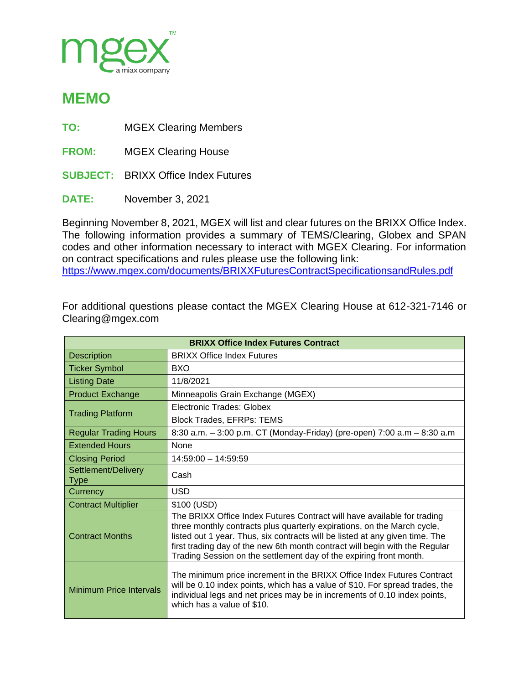

## **MEMO**

- **TO:** MGEX Clearing Members
- **FROM:** MGEX Clearing House
- **SUBJECT:** BRIXX Office Index Futures
- **DATE:** November 3, 2021

Beginning November 8, 2021, MGEX will list and clear futures on the BRIXX Office Index. The following information provides a summary of TEMS/Clearing, Globex and SPAN codes and other information necessary to interact with MGEX Clearing. For information on contract specifications and rules please use the following link: <https://www.mgex.com/documents/BRIXXFuturesContractSpecificationsandRules.pdf>

For additional questions please contact the MGEX Clearing House at 612-321-7146 or Clearing@mgex.com

| <b>BRIXX Office Index Futures Contract</b> |                                                                                                                                                                                                                                                                                                                                                                                         |  |
|--------------------------------------------|-----------------------------------------------------------------------------------------------------------------------------------------------------------------------------------------------------------------------------------------------------------------------------------------------------------------------------------------------------------------------------------------|--|
| <b>Description</b>                         | <b>BRIXX Office Index Futures</b>                                                                                                                                                                                                                                                                                                                                                       |  |
| <b>Ticker Symbol</b>                       | <b>BXO</b>                                                                                                                                                                                                                                                                                                                                                                              |  |
| <b>Listing Date</b>                        | 11/8/2021                                                                                                                                                                                                                                                                                                                                                                               |  |
| <b>Product Exchange</b>                    | Minneapolis Grain Exchange (MGEX)                                                                                                                                                                                                                                                                                                                                                       |  |
| <b>Trading Platform</b>                    | Electronic Trades: Globex                                                                                                                                                                                                                                                                                                                                                               |  |
|                                            | <b>Block Trades, EFRPs: TEMS</b>                                                                                                                                                                                                                                                                                                                                                        |  |
| <b>Regular Trading Hours</b>               | 8:30 a.m. - 3:00 p.m. CT (Monday-Friday) (pre-open) 7:00 a.m - 8:30 a.m                                                                                                                                                                                                                                                                                                                 |  |
| <b>Extended Hours</b>                      | <b>None</b>                                                                                                                                                                                                                                                                                                                                                                             |  |
| <b>Closing Period</b>                      | $14:59:00 - 14:59:59$                                                                                                                                                                                                                                                                                                                                                                   |  |
| Settlement/Delivery<br><b>Type</b>         | Cash                                                                                                                                                                                                                                                                                                                                                                                    |  |
| Currency                                   | <b>USD</b>                                                                                                                                                                                                                                                                                                                                                                              |  |
| <b>Contract Multiplier</b>                 | \$100 (USD)                                                                                                                                                                                                                                                                                                                                                                             |  |
| <b>Contract Months</b>                     | The BRIXX Office Index Futures Contract will have available for trading<br>three monthly contracts plus quarterly expirations, on the March cycle,<br>listed out 1 year. Thus, six contracts will be listed at any given time. The<br>first trading day of the new 6th month contract will begin with the Regular<br>Trading Session on the settlement day of the expiring front month. |  |
| <b>Minimum Price Intervals</b>             | The minimum price increment in the BRIXX Office Index Futures Contract<br>will be 0.10 index points, which has a value of \$10. For spread trades, the<br>individual legs and net prices may be in increments of 0.10 index points,<br>which has a value of \$10.                                                                                                                       |  |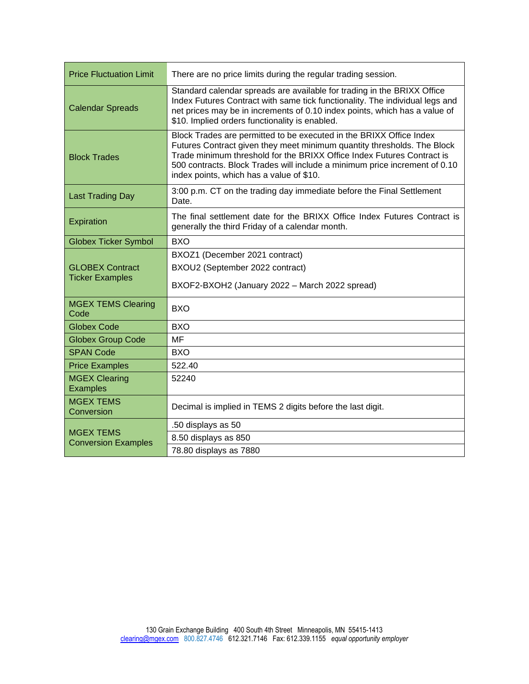| <b>Price Fluctuation Limit</b>                   | There are no price limits during the regular trading session.                                                                                                                                                                                                                                                                                      |  |
|--------------------------------------------------|----------------------------------------------------------------------------------------------------------------------------------------------------------------------------------------------------------------------------------------------------------------------------------------------------------------------------------------------------|--|
| <b>Calendar Spreads</b>                          | Standard calendar spreads are available for trading in the BRIXX Office<br>Index Futures Contract with same tick functionality. The individual legs and<br>net prices may be in increments of 0.10 index points, which has a value of<br>\$10. Implied orders functionality is enabled.                                                            |  |
| <b>Block Trades</b>                              | Block Trades are permitted to be executed in the BRIXX Office Index<br>Futures Contract given they meet minimum quantity thresholds. The Block<br>Trade minimum threshold for the BRIXX Office Index Futures Contract is<br>500 contracts. Block Trades will include a minimum price increment of 0.10<br>index points, which has a value of \$10. |  |
| <b>Last Trading Day</b>                          | 3:00 p.m. CT on the trading day immediate before the Final Settlement<br>Date.                                                                                                                                                                                                                                                                     |  |
| Expiration                                       | The final settlement date for the BRIXX Office Index Futures Contract is<br>generally the third Friday of a calendar month.                                                                                                                                                                                                                        |  |
| <b>Globex Ticker Symbol</b>                      | <b>BXO</b>                                                                                                                                                                                                                                                                                                                                         |  |
| <b>GLOBEX Contract</b><br><b>Ticker Examples</b> | BXOZ1 (December 2021 contract)<br>BXOU2 (September 2022 contract)<br>BXOF2-BXOH2 (January 2022 - March 2022 spread)                                                                                                                                                                                                                                |  |
| <b>MGEX TEMS Clearing</b><br>Code                | <b>BXO</b>                                                                                                                                                                                                                                                                                                                                         |  |
| <b>Globex Code</b>                               | <b>BXO</b>                                                                                                                                                                                                                                                                                                                                         |  |
| <b>Globex Group Code</b>                         | <b>MF</b>                                                                                                                                                                                                                                                                                                                                          |  |
| <b>SPAN Code</b>                                 | <b>BXO</b>                                                                                                                                                                                                                                                                                                                                         |  |
| <b>Price Examples</b>                            | 522.40                                                                                                                                                                                                                                                                                                                                             |  |
| <b>MGEX Clearing</b><br><b>Examples</b>          | 52240                                                                                                                                                                                                                                                                                                                                              |  |
| <b>MGEX TEMS</b><br>Conversion                   | Decimal is implied in TEMS 2 digits before the last digit.                                                                                                                                                                                                                                                                                         |  |
| <b>MGEX TEMS</b><br><b>Conversion Examples</b>   | .50 displays as 50                                                                                                                                                                                                                                                                                                                                 |  |
|                                                  | 8.50 displays as 850                                                                                                                                                                                                                                                                                                                               |  |
|                                                  | 78.80 displays as 7880                                                                                                                                                                                                                                                                                                                             |  |